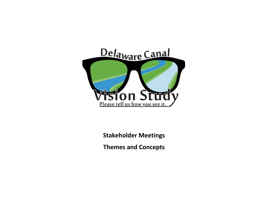

**Stakeholder Meetings**

**Themes and Concepts**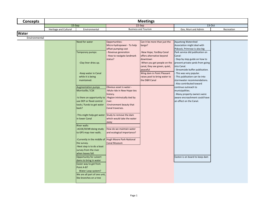| <b>Meetings</b>       |                                                                                                                                                                                                                                                                                                                                                                                                                                                                                                                                                                                                                                                    |                                                                                                                                                                                                                                                                                                                                                                                                                                                                                  |                                                                                                                                                                                                                                                                         |                                                                                                                                                                                                                                                                                                                                                                                                                                                                                                                                                       |            |  |
|-----------------------|----------------------------------------------------------------------------------------------------------------------------------------------------------------------------------------------------------------------------------------------------------------------------------------------------------------------------------------------------------------------------------------------------------------------------------------------------------------------------------------------------------------------------------------------------------------------------------------------------------------------------------------------------|----------------------------------------------------------------------------------------------------------------------------------------------------------------------------------------------------------------------------------------------------------------------------------------------------------------------------------------------------------------------------------------------------------------------------------------------------------------------------------|-------------------------------------------------------------------------------------------------------------------------------------------------------------------------------------------------------------------------------------------------------------------------|-------------------------------------------------------------------------------------------------------------------------------------------------------------------------------------------------------------------------------------------------------------------------------------------------------------------------------------------------------------------------------------------------------------------------------------------------------------------------------------------------------------------------------------------------------|------------|--|
|                       |                                                                                                                                                                                                                                                                                                                                                                                                                                                                                                                                                                                                                                                    |                                                                                                                                                                                                                                                                                                                                                                                                                                                                                  |                                                                                                                                                                                                                                                                         | 13-Oct                                                                                                                                                                                                                                                                                                                                                                                                                                                                                                                                                |            |  |
| Heritage and Cultural | Environmental                                                                                                                                                                                                                                                                                                                                                                                                                                                                                                                                                                                                                                      |                                                                                                                                                                                                                                                                                                                                                                                                                                                                                  |                                                                                                                                                                                                                                                                         | Gov, Muni and Admin                                                                                                                                                                                                                                                                                                                                                                                                                                                                                                                                   | Recreation |  |
|                       |                                                                                                                                                                                                                                                                                                                                                                                                                                                                                                                                                                                                                                                    |                                                                                                                                                                                                                                                                                                                                                                                                                                                                                  |                                                                                                                                                                                                                                                                         |                                                                                                                                                                                                                                                                                                                                                                                                                                                                                                                                                       |            |  |
|                       |                                                                                                                                                                                                                                                                                                                                                                                                                                                                                                                                                                                                                                                    |                                                                                                                                                                                                                                                                                                                                                                                                                                                                                  |                                                                                                                                                                                                                                                                         |                                                                                                                                                                                                                                                                                                                                                                                                                                                                                                                                                       |            |  |
|                       | Need for water<br>Temporary pumps:<br>-Clay liner dries up.<br>-Keep water in Canal<br>while it is being<br>maintained.<br><b>Augmentation pumps</b><br>Morrisville / CSX<br>-Is there an opportunity to<br>use DEP or flood control<br>tools / funds to get water<br>back?<br>in lower Canal<br><b>River walls:</b><br>-ACOE/DCNR doing study<br>to GPS map river walls.<br>the survey.<br>-Next step is to do a boat<br>survey from the river<br>when leaves fall.<br>Opportunity for culvert<br>dams to bring in water<br>Easier way to get from<br>Point A-B?<br>Water Loop system?<br>We are all part of one unit,<br>like branches on a tree | Opportunities:<br>Micro-hydropower - To help<br>offset pumping cost<br>Revenue generation<br>How to navigate landmark<br>status?<br>Obvious asset is water -<br>-Mule ride in New Hope ties<br>history.<br>-Region intrinsically tied by<br>river.<br>-Environment beauty that<br>Canal traverses.<br>Study to remove the dam<br>which would take the water<br>away<br>How do we maintain water<br>and ecological importance?<br>Hugh Moore Park-National<br><b>Canal Museum</b> | Can it be more than just the<br>barge?<br>-New Hope, Yardley-Canal<br>offers alternative beyond<br>downtown<br>-When you get people on the<br>canal, they see green, quiet,<br>peaceful<br>Wing dam in Point Pleasant<br>raises pool to bring water to<br>the D&R Canal | Aquetong Watershed<br>Association might deal with<br>Pidcock, Primrose is also big<br>Park service did publication on<br>Canal:<br>Step by step guide on how to<br>prevent private yards from going<br>into Canal.<br>- Streamside buffer publication.<br>This was very popular.<br>This publication can tie into<br>stormwater recommendations.<br>- Also contributed toward<br>continue outreach to<br>municipalities.<br>- Many property owners were<br>aware encroachment could have<br>an effect on the Canal.<br>Easton is on board to keep dam |            |  |
|                       |                                                                                                                                                                                                                                                                                                                                                                                                                                                                                                                                                                                                                                                    | 15-Sep                                                                                                                                                                                                                                                                                                                                                                                                                                                                           | -This might help get water<br>-Currently in the middle of                                                                                                                                                                                                               | 22-Sep<br><b>Business and Tourism</b>                                                                                                                                                                                                                                                                                                                                                                                                                                                                                                                 |            |  |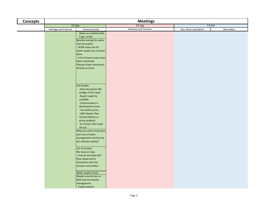| <b>Concepts</b> | <b>Meetings</b>       |                                                     |                             |                     |            |  |  |
|-----------------|-----------------------|-----------------------------------------------------|-----------------------------|---------------------|------------|--|--|
|                 |                       | 15-Sep                                              | 22-Sep                      | $13-Oct$            |            |  |  |
|                 | Heritage and Cultural | Environmental                                       | <b>Business and Tourism</b> | Gov, Muni and Admin | Recreation |  |  |
|                 |                       | Water as a habitat (fish,                           |                             |                     |            |  |  |
|                 |                       | frogs, turtle)                                      |                             |                     |            |  |  |
|                 |                       | Baseline testing for water                          |                             |                     |            |  |  |
|                 |                       | and soil quality:                                   |                             |                     |            |  |  |
|                 |                       | - DCNR notes one for                                |                             |                     |            |  |  |
|                 |                       | water quality has not been                          |                             |                     |            |  |  |
|                 |                       | done.                                               |                             |                     |            |  |  |
|                 |                       | - A lot of source ways have                         |                             |                     |            |  |  |
|                 |                       | been monitored.<br><b>Pidcock Creek contributes</b> |                             |                     |            |  |  |
|                 |                       | directly to Canal.                                  |                             |                     |            |  |  |
|                 |                       |                                                     |                             |                     |            |  |  |
|                 |                       |                                                     |                             |                     |            |  |  |
|                 |                       |                                                     |                             |                     |            |  |  |
|                 |                       |                                                     |                             |                     |            |  |  |
|                 |                       | Soil Quality                                        |                             |                     |            |  |  |
|                 |                       | -Done during the 90s                                |                             |                     |            |  |  |
|                 |                       | dredge of the Canal.                                |                             |                     |            |  |  |
|                 |                       | -Report might be                                    |                             |                     |            |  |  |
|                 |                       | available.                                          |                             |                     |            |  |  |
|                 |                       | -Contamination in                                   |                             |                     |            |  |  |
|                 |                       | development areas.                                  |                             |                     |            |  |  |
|                 |                       | -Test within prism.                                 |                             |                     |            |  |  |
|                 |                       | -1987 Master Plan<br>named siltation as             |                             |                     |            |  |  |
|                 |                       | prime problem.                                      |                             |                     |            |  |  |
|                 |                       | -\$1 mil per mile to get                            |                             |                     |            |  |  |
|                 |                       | silt out.                                           |                             |                     |            |  |  |
|                 |                       | What are some of the pros                           |                             |                     |            |  |  |
|                 |                       | and cons of water                                   |                             |                     |            |  |  |
|                 |                       | management and how do                               |                             |                     |            |  |  |
|                 |                       | we maintain quality?                                |                             |                     |            |  |  |
|                 |                       |                                                     |                             |                     |            |  |  |
|                 |                       | List of streams                                     |                             |                     |            |  |  |
|                 |                       | We have on map.                                     |                             |                     |            |  |  |
|                 |                       | How do you deal with                                |                             |                     |            |  |  |
|                 |                       | <b>River Road and its</b>                           |                             |                     |            |  |  |
|                 |                       | interaction with the<br>streams and creeks?         |                             |                     |            |  |  |
|                 |                       |                                                     |                             |                     |            |  |  |
|                 |                       | Water quality issues                                |                             |                     |            |  |  |
|                 |                       | Maybe concentrate on                                |                             |                     |            |  |  |
|                 |                       | MS4 and stormwater                                  |                             |                     |            |  |  |
|                 |                       | management.                                         |                             |                     |            |  |  |
|                 |                       | - Target projects                                   |                             |                     |            |  |  |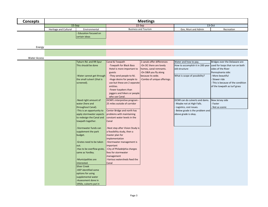| <b>Concepts</b>     |                       | <b>Meetings</b>                          |                                               |                             |                                  |                                  |  |
|---------------------|-----------------------|------------------------------------------|-----------------------------------------------|-----------------------------|----------------------------------|----------------------------------|--|
|                     |                       | 15-Sep                                   |                                               | $22-Sep$                    |                                  | 13-Oct                           |  |
|                     | Heritage and Cultural | Environmental                            |                                               | <b>Business and Tourism</b> | Gov, Muni and Admin              | Recreation                       |  |
|                     |                       | <b>Education focused on</b>              |                                               |                             |                                  |                                  |  |
|                     |                       | certain ideas                            |                                               |                             |                                  |                                  |  |
|                     |                       |                                          |                                               |                             |                                  |                                  |  |
|                     |                       |                                          |                                               |                             |                                  |                                  |  |
| Energy              |                       |                                          |                                               |                             |                                  |                                  |  |
|                     |                       |                                          |                                               |                             |                                  |                                  |  |
| <b>Water Access</b> |                       |                                          |                                               |                             |                                  |                                  |  |
|                     |                       | Tyburn Rd. and RR Spur                   | Canal & Towpath                               | 2 canals offer differences  | Water and how to pay.            | Bridges over the Delaware are    |  |
|                     |                       | This should be done                      | -Towpath for Black Bass                       | -On DC there are lovely     | How to accomplish it in 200 year | used for loops that run on both  |  |
|                     |                       |                                          | Hotel is more important to                    | homes, canal remnants.      | old structure                    | sides of the River               |  |
|                     |                       |                                          | guests                                        | -On D&R you fly along       |                                  | Pennsylvania side:               |  |
|                     |                       | -Water cannot get through                | -They send people to NJ.                      | because its wide.           | What is scope of possibility?    | More beautiful                   |  |
|                     |                       | the small culvert (that is               | -Huge desire for people to                    | -Combo of unique offerings. |                                  | Slower ride                      |  |
|                     |                       | screened).                               | use but these are 2 separate                  |                             |                                  | This is because of the condition |  |
|                     |                       |                                          | entities.                                     |                             |                                  | of the towpath as turf grass     |  |
|                     |                       |                                          | -Fewer kayakers than                          |                             |                                  |                                  |  |
|                     |                       |                                          | joggers and hikers or people                  |                             |                                  |                                  |  |
|                     |                       |                                          | who use Canal.<br>DCNR's interpretive program |                             | DCNR can do culverts and dams.   |                                  |  |
|                     |                       | -Need right amount of<br>water (here and | 25 miles outside of corridor                  |                             | - Maybe not at High Falls.       | New Jersey side<br>Faster        |  |
|                     |                       | throughout Canal).                       |                                               |                             | - Logistics, cost issues.        | Not as scenic                    |  |
|                     |                       | -This is an opportunity to               | Center Bridge and north has                   |                             | Below grade is the problem and   |                                  |  |
|                     |                       | apply stormwater aspects                 | problems with maintaining                     |                             | above grade is okay.             |                                  |  |
|                     |                       | to redesign the Canal and                | constant water levels in the                  |                             |                                  |                                  |  |
|                     |                       | towpath together.                        | Canal                                         |                             |                                  |                                  |  |
|                     |                       |                                          |                                               |                             |                                  |                                  |  |
|                     |                       | -Stormwater funds can                    | -Next step after Vision Study is              |                             |                                  |                                  |  |
|                     |                       | supplement the park                      | a feasibility study, then a                   |                             |                                  |                                  |  |
|                     |                       | budget.                                  | master plan for                               |                             |                                  |                                  |  |
|                     |                       |                                          | implementation                                |                             |                                  |                                  |  |
|                     |                       | Grates need to be taken<br>out.          | -Stormwater management is<br>important        |                             |                                  |                                  |  |
|                     |                       | -Has to be overflow grate,               | -City of Philadelphia charges                 |                             |                                  |                                  |  |
|                     |                       | same as Yardley.                         | fees for stormwater                           |                             |                                  |                                  |  |
|                     |                       |                                          | management                                    |                             |                                  |                                  |  |
|                     |                       | -Municipalities are                      | Various watersheds feed the                   |                             |                                  |                                  |  |
|                     |                       | interested.                              | Canal                                         |                             |                                  |                                  |  |
|                     |                       | <b>Silver Creek</b>                      |                                               |                             |                                  |                                  |  |
|                     |                       | -DEP identified some                     |                                               |                             |                                  |                                  |  |
|                     |                       | options for using                        |                                               |                             |                                  |                                  |  |
|                     |                       | supplemental water                       |                                               |                             |                                  |                                  |  |
|                     |                       | Assessment done in                       |                                               |                             |                                  |                                  |  |
|                     |                       | 1950s, culverts put in                   |                                               |                             |                                  |                                  |  |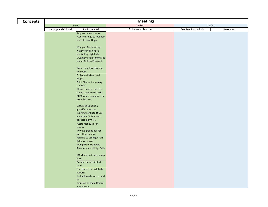| <b>Concepts</b> | <b>Meetings</b>       |                                      |                             |                     |            |  |  |
|-----------------|-----------------------|--------------------------------------|-----------------------------|---------------------|------------|--|--|
|                 |                       | 15-Sep                               | $22-Sep$                    | 13-Oct              |            |  |  |
|                 | Heritage and Cultural | Environmental                        | <b>Business and Tourism</b> | Gov, Muni and Admin | Recreation |  |  |
|                 |                       | Augmentation pumps:                  |                             |                     |            |  |  |
|                 |                       | -Centre Bridge-to maintain           |                             |                     |            |  |  |
|                 |                       | boats in New Hope.                   |                             |                     |            |  |  |
|                 |                       |                                      |                             |                     |            |  |  |
|                 |                       | -Pump at Durham-kept                 |                             |                     |            |  |  |
|                 |                       | water to Indian Rock,                |                             |                     |            |  |  |
|                 |                       | blocked by High Falls.               |                             |                     |            |  |  |
|                 |                       | -Augmentation committee-             |                             |                     |            |  |  |
|                 |                       | one at Golden Pheasant.              |                             |                     |            |  |  |
|                 |                       | -New Hope-larger pump                |                             |                     |            |  |  |
|                 |                       | for south.                           |                             |                     |            |  |  |
|                 |                       | Problems if river level              |                             |                     |            |  |  |
|                 |                       | drops.                               |                             |                     |            |  |  |
|                 |                       | Point Pleasant pumping               |                             |                     |            |  |  |
|                 |                       | station:                             |                             |                     |            |  |  |
|                 |                       | -If water can go into the            |                             |                     |            |  |  |
|                 |                       | Canal, have to work with             |                             |                     |            |  |  |
|                 |                       | DRBC when pumping it out             |                             |                     |            |  |  |
|                 |                       | from the river.                      |                             |                     |            |  |  |
|                 |                       |                                      |                             |                     |            |  |  |
|                 |                       | -Assumed Canal is a                  |                             |                     |            |  |  |
|                 |                       | grandfathered use.                   |                             |                     |            |  |  |
|                 |                       | -Existing verbiage to use            |                             |                     |            |  |  |
|                 |                       | water but DRBC wants                 |                             |                     |            |  |  |
|                 |                       | dockets (permits).                   |                             |                     |            |  |  |
|                 |                       | -Costs money to run                  |                             |                     |            |  |  |
|                 |                       | pumps.<br>-Private groups pay for    |                             |                     |            |  |  |
|                 |                       | New Hope pump.                       |                             |                     |            |  |  |
|                 |                       | Possible to use High Falls           |                             |                     |            |  |  |
|                 |                       | delta as source.                     |                             |                     |            |  |  |
|                 |                       | -Pump from Delaware                  |                             |                     |            |  |  |
|                 |                       | River into are of High Falls.        |                             |                     |            |  |  |
|                 |                       |                                      |                             |                     |            |  |  |
|                 |                       | -DCNR doesn't have pump              |                             |                     |            |  |  |
|                 |                       | here.                                |                             |                     |            |  |  |
|                 |                       | Durham has dedicated                 |                             |                     |            |  |  |
|                 |                       | shed.                                |                             |                     |            |  |  |
|                 |                       | Timeframe for High Falls             |                             |                     |            |  |  |
|                 |                       | culvert:                             |                             |                     |            |  |  |
|                 |                       | -Initial thought was a quick<br>fix. |                             |                     |            |  |  |
|                 |                       | -Contractor had different            |                             |                     |            |  |  |
|                 |                       | alternatives.                        |                             |                     |            |  |  |
|                 |                       |                                      |                             |                     |            |  |  |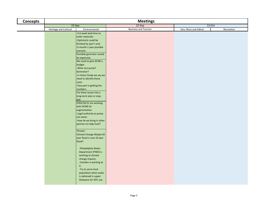| <b>Concepts</b> | <b>Meetings</b>       |                                |                             |                     |            |  |  |
|-----------------|-----------------------|--------------------------------|-----------------------------|---------------------|------------|--|--|
|                 |                       | 15-Sep                         | 22-Sep                      | $13-Oct$            |            |  |  |
|                 | Heritage and Cultural | Environmental                  | <b>Business and Tourism</b> | Gov, Muni and Admin | Recreation |  |  |
|                 |                       | -3-6 week lead time to         |                             |                     |            |  |  |
|                 |                       | order materials.               |                             |                     |            |  |  |
|                 |                       | -Optimistic could be           |                             |                     |            |  |  |
|                 |                       | finished by year's end.        |                             |                     |            |  |  |
|                 |                       | -6 month-1 year possible       |                             |                     |            |  |  |
|                 |                       | scenario.                      |                             |                     |            |  |  |
|                 |                       | Portable generator would       |                             |                     |            |  |  |
|                 |                       | be expensive.                  |                             |                     |            |  |  |
|                 |                       | We need to give DCNR a         |                             |                     |            |  |  |
|                 |                       | budget.                        |                             |                     |            |  |  |
|                 |                       | -What size pump?<br>Generator? |                             |                     |            |  |  |
|                 |                       | -In Vision Study-we say we     |                             |                     |            |  |  |
|                 |                       | need to identify these         |                             |                     |            |  |  |
|                 |                       | costs.                         |                             |                     |            |  |  |
|                 |                       | -Easy part is getting the      |                             |                     |            |  |  |
|                 |                       | numbers.                       |                             |                     |            |  |  |
|                 |                       | Put these issues into a        |                             |                     |            |  |  |
|                 |                       | long-term plan or stop-        |                             |                     |            |  |  |
|                 |                       | gap.                           |                             |                     |            |  |  |
|                 |                       | FODC/DC21 are working          |                             |                     |            |  |  |
|                 |                       | with DCNR for                  |                             |                     |            |  |  |
|                 |                       | augmentation.                  |                             |                     |            |  |  |
|                 |                       | -Legal authority to pump       |                             |                     |            |  |  |
|                 |                       | out water.                     |                             |                     |            |  |  |
|                 |                       | -How do we bring in other      |                             |                     |            |  |  |
|                 |                       | partners to help fund?         |                             |                     |            |  |  |
|                 |                       |                                |                             |                     |            |  |  |
|                 |                       | Threats:                       |                             |                     |            |  |  |
|                 |                       | Climate Change-Maybe 50        |                             |                     |            |  |  |
|                 |                       | year flood is now 10 year      |                             |                     |            |  |  |
|                 |                       | flood?                         |                             |                     |            |  |  |
|                 |                       | -Philadelphia Water            |                             |                     |            |  |  |
|                 |                       | Department (PWD) is            |                             |                     |            |  |  |
|                 |                       | working at climate             |                             |                     |            |  |  |
|                 |                       | change impacts.                |                             |                     |            |  |  |
|                 |                       | -Camden is working at          |                             |                     |            |  |  |
|                 |                       | it.                            |                             |                     |            |  |  |
|                 |                       | -Try to serve local            |                             |                     |            |  |  |
|                 |                       | population when water          |                             |                     |            |  |  |
|                 |                       | is siphoned in upper           |                             |                     |            |  |  |
|                 |                       | Delaware for NYC use.          |                             |                     |            |  |  |
|                 |                       |                                |                             |                     |            |  |  |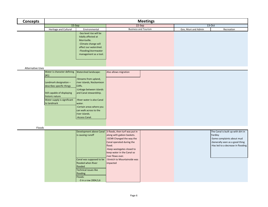| <b>Concepts</b>         | <b>Meetings</b>                                                                                                                                                                            |                                                                                                                                                                                                                                                                               |                                                                                                                                                                                                                                                                                       |                             |                     |                                                                                                                                                      |
|-------------------------|--------------------------------------------------------------------------------------------------------------------------------------------------------------------------------------------|-------------------------------------------------------------------------------------------------------------------------------------------------------------------------------------------------------------------------------------------------------------------------------|---------------------------------------------------------------------------------------------------------------------------------------------------------------------------------------------------------------------------------------------------------------------------------------|-----------------------------|---------------------|------------------------------------------------------------------------------------------------------------------------------------------------------|
|                         | $15-Sep$                                                                                                                                                                                   |                                                                                                                                                                                                                                                                               |                                                                                                                                                                                                                                                                                       | $22-Sep$                    |                     | $13-Oct$                                                                                                                                             |
|                         | Heritage and Cultural                                                                                                                                                                      | Environmental                                                                                                                                                                                                                                                                 |                                                                                                                                                                                                                                                                                       | <b>Business and Tourism</b> | Gov, Muni and Admin | Recreation                                                                                                                                           |
|                         |                                                                                                                                                                                            | -Sea level rise will be<br>tidally affected at<br>Morrisville.<br>-Climate change will<br>affect our watershed.<br>-Flooding/stormwater<br>management as a tool.                                                                                                              |                                                                                                                                                                                                                                                                                       |                             |                     |                                                                                                                                                      |
|                         |                                                                                                                                                                                            |                                                                                                                                                                                                                                                                               |                                                                                                                                                                                                                                                                                       |                             |                     |                                                                                                                                                      |
| <b>Alternative Uses</b> |                                                                                                                                                                                            |                                                                                                                                                                                                                                                                               |                                                                                                                                                                                                                                                                                       |                             |                     |                                                                                                                                                      |
|                         | Water is character defining<br>(#1)<br>Landmark designation -<br>describes specific things<br>Still capable of displaying<br>historic nature<br>Water supply is significant<br>to landmark | Watershed landscape:<br>-Streams from upland,<br>river islands, Nockamixon<br>Cliffs.<br>-Linkage between islands<br>and Canal stewardship.<br>-River water is also Canal<br>water.<br>-Certain areas where you<br>can walk across to the<br>river islands.<br>-Access Canal. | Also allows migration                                                                                                                                                                                                                                                                 |                             |                     |                                                                                                                                                      |
| Floods                  |                                                                                                                                                                                            |                                                                                                                                                                                                                                                                               |                                                                                                                                                                                                                                                                                       |                             |                     |                                                                                                                                                      |
|                         |                                                                                                                                                                                            | is causing runoff<br>Canal was supposed to be<br>flooded when River<br>flooded<br>Technical issues like<br>flooding<br>Floods:<br>-3 in a row 2004,5,6                                                                                                                        | Development above Canal 3 floods, then turf was put in<br>along with gabion baskets.<br>-DCNR Changed the way the<br>Canal operated during the<br>flood.<br>-Keep wastegates closed to<br>keep water in the Canal so<br>river flows over.<br>-Stretch to Mountainside was<br>impacted |                             |                     | The Canal is built up with dirt in<br>Yardley<br>-Some complaints about mud<br>-Generally seen as a good thing<br>-Has led to a decrease in flooding |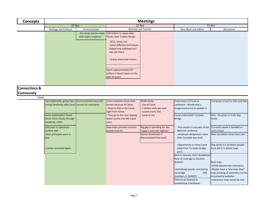| <b>Concepts</b>          | <b>Meetings</b>       |                        |                                 |                     |            |  |  |  |
|--------------------------|-----------------------|------------------------|---------------------------------|---------------------|------------|--|--|--|
|                          | $15-Sep$              |                        | 22-Sep                          | 13-Oct              |            |  |  |  |
|                          | Heritage and Cultural | Environmental          | <b>Business and Tourism</b>     | Gov, Muni and Admin | Recreation |  |  |  |
|                          |                       | -Pre-empt and be ready | \$30 million to repair after    |                     |            |  |  |  |
|                          |                       | with repair response   | floods, then 3 other floods:    |                     |            |  |  |  |
|                          |                       |                        | $-2011$ , Irene, Lee.           |                     |            |  |  |  |
|                          |                       |                        | -Some different techniques      |                     |            |  |  |  |
|                          |                       |                        | helped and stabilized turf      |                     |            |  |  |  |
|                          |                       |                        | was still there.                |                     |            |  |  |  |
|                          |                       |                        |                                 |                     |            |  |  |  |
|                          |                       |                        | -Grassy areas had erosion.      |                     |            |  |  |  |
|                          |                       |                        |                                 |                     |            |  |  |  |
|                          |                       |                        | Spent approximately \$37        |                     |            |  |  |  |
|                          |                       |                        | million in flood repairs in the |                     |            |  |  |  |
|                          |                       |                        | past 10 years                   |                     |            |  |  |  |
|                          |                       |                        |                                 |                     |            |  |  |  |
|                          |                       |                        |                                 |                     |            |  |  |  |
| <b>Connections &amp;</b> |                       |                        |                                 |                     |            |  |  |  |
| <b>Community</b>         |                       |                        |                                 |                     |            |  |  |  |

| ET SI               |                                                       |                                                                                                              |                                                                                                          |                                                                                                             |                                                                                                                                                                                                                         |                                                                                                                                                                              |
|---------------------|-------------------------------------------------------|--------------------------------------------------------------------------------------------------------------|----------------------------------------------------------------------------------------------------------|-------------------------------------------------------------------------------------------------------------|-------------------------------------------------------------------------------------------------------------------------------------------------------------------------------------------------------------------------|------------------------------------------------------------------------------------------------------------------------------------------------------------------------------|
|                     |                                                       | The stakeholder group has a Environmental issue, like<br>strong familiarity with Canal service for restrooms | Some residents chose their<br>homes because of Canal.<br>- Hope to fish in the Canal<br>right from home. | <b>DCNR Study:</b><br>Use of Canal<br>1 million visits per year<br>Counts every visit                       | Importance of Canal as<br>Landmark - Would take a<br>Congressional act to update it                                                                                                                                     | Turf grass is hard to hike and bike                                                                                                                                          |
| Facebook, FODC      | Some stakeholders heard<br>about Vision Study through |                                                                                                              | They go to the river hoping<br>water comes into the Canal<br>soon.                                       | Level of use                                                                                                | Canal underneath Turnpike<br>bridge                                                                                                                                                                                     | Pets - No place to trash dog<br>waste                                                                                                                                        |
| worked well<br>play | 100 years in operation-<br>-Basic principals were in  |                                                                                                              | New Hope provides services<br>people look for                                                            | Big gap in spending for day<br>trippers and over-nighters<br>Easton downtown is<br>disconnected from trails | -This section is not part of the<br>National Landmark.<br>-Landmark designation came<br>after Turnpike was built.                                                                                                       | Currently waste is handled as<br>carry in/out<br>New recreation areas have cans                                                                                              |
|                     | -Can be successful again                              |                                                                                                              |                                                                                                          |                                                                                                             | -Opportunity to move Canal<br>away from Turnpike bridge<br>piers.                                                                                                                                                       | Dog waste is a problem-people<br>have left it in plastic bags                                                                                                                |
|                     |                                                       |                                                                                                              |                                                                                                          |                                                                                                             | Back in January, GLCC broadened<br>base of coverage to become<br><b>GLNHCC</b><br>-Something special, connecting<br>via bridge<br>$-300$<br>members in GLNHCC<br>There is an interest in<br>establishing a facilitator: | Park map:<br>-DCNR website lists restrooms.<br>-Maybe have a "one stop shop"<br>map showing all amenities on the<br>municipality websites.<br>-Interactive map would be nice |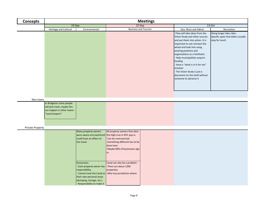| <b>Concepts</b>         | <b>Meetings</b>                                                                                          |                                                                                                                                                                       |                                                                                                                                                                                                         |                             |                                                                                                                                                                                                                                                                                                                                                                                                                    |                                                                                  |  |  |
|-------------------------|----------------------------------------------------------------------------------------------------------|-----------------------------------------------------------------------------------------------------------------------------------------------------------------------|---------------------------------------------------------------------------------------------------------------------------------------------------------------------------------------------------------|-----------------------------|--------------------------------------------------------------------------------------------------------------------------------------------------------------------------------------------------------------------------------------------------------------------------------------------------------------------------------------------------------------------------------------------------------------------|----------------------------------------------------------------------------------|--|--|
|                         | $15-Sep$                                                                                                 |                                                                                                                                                                       |                                                                                                                                                                                                         | 22-Sep                      |                                                                                                                                                                                                                                                                                                                                                                                                                    | 13-Oct                                                                           |  |  |
|                         | Heritage and Cultural                                                                                    | Environmental                                                                                                                                                         |                                                                                                                                                                                                         | <b>Business and Tourism</b> | Gov, Muni and Admin                                                                                                                                                                                                                                                                                                                                                                                                | Recreation                                                                       |  |  |
|                         |                                                                                                          |                                                                                                                                                                       |                                                                                                                                                                                                         |                             | -They will take ideas from the<br>Vision Study and other sources<br>and put them into action. It is<br>important to not reinvent the<br>wheel and look into using<br>existing positions and<br>organizations as a facilitator.<br>- Help municipalities acquire<br>funding<br>- Have a "what is in it for me"<br>mindset<br>- The Vision Study is just a<br>document on the shelf without<br>someone to advance it | Along longer bike rides:<br>Specific spots that bikers usually<br>stop for lunch |  |  |
|                         |                                                                                                          |                                                                                                                                                                       |                                                                                                                                                                                                         |                             |                                                                                                                                                                                                                                                                                                                                                                                                                    |                                                                                  |  |  |
| Non-Users               |                                                                                                          |                                                                                                                                                                       |                                                                                                                                                                                                         |                             |                                                                                                                                                                                                                                                                                                                                                                                                                    |                                                                                  |  |  |
|                         | In Bridgeton some people<br>will pick trash, maybe this<br>can happen in other towns-<br>"canal keepers" |                                                                                                                                                                       |                                                                                                                                                                                                         |                             |                                                                                                                                                                                                                                                                                                                                                                                                                    |                                                                                  |  |  |
| <b>Private Property</b> |                                                                                                          |                                                                                                                                                                       |                                                                                                                                                                                                         |                             |                                                                                                                                                                                                                                                                                                                                                                                                                    |                                                                                  |  |  |
|                         |                                                                                                          | Many property owners<br>could have an effect on<br>the Canal                                                                                                          | All property owners that abut<br>were aware encroachment the High Line in NYC pay in.<br>-Can be controversial.<br>-Something different has to be<br>done here.<br>-Maybe 60% of businesses sign<br>in. |                             |                                                                                                                                                                                                                                                                                                                                                                                                                    |                                                                                  |  |  |
|                         |                                                                                                          | Grassroots:<br>Each property owner has -There are about 1200<br>responsibility.<br>their own personal areas<br>(dumping, storage, etc.).<br>Responsibility to make it | Canal can also be a problem:<br>properties<br>Cannot treat the Canal as -Who has jurisdiction where                                                                                                     |                             |                                                                                                                                                                                                                                                                                                                                                                                                                    |                                                                                  |  |  |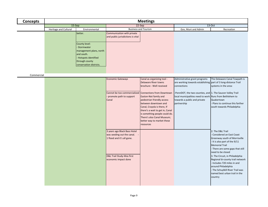| <b>Concepts</b> |                              | <b>Meetings</b>                                                                                                                                   |                                                                                                                                                 |                                                                                                                                                                                                                                                                                             |                                                                                                                                                                       |                                                                                                                                                                                                                                                                                                                                                                                                               |  |  |  |
|-----------------|------------------------------|---------------------------------------------------------------------------------------------------------------------------------------------------|-------------------------------------------------------------------------------------------------------------------------------------------------|---------------------------------------------------------------------------------------------------------------------------------------------------------------------------------------------------------------------------------------------------------------------------------------------|-----------------------------------------------------------------------------------------------------------------------------------------------------------------------|---------------------------------------------------------------------------------------------------------------------------------------------------------------------------------------------------------------------------------------------------------------------------------------------------------------------------------------------------------------------------------------------------------------|--|--|--|
|                 | 15-Sep                       |                                                                                                                                                   |                                                                                                                                                 | 22-Sep                                                                                                                                                                                                                                                                                      |                                                                                                                                                                       | $13-Oct$                                                                                                                                                                                                                                                                                                                                                                                                      |  |  |  |
|                 | <b>Heritage and Cultural</b> | Environmental                                                                                                                                     |                                                                                                                                                 | <b>Business and Tourism</b>                                                                                                                                                                                                                                                                 | Gov, Muni and Admin                                                                                                                                                   | Recreation                                                                                                                                                                                                                                                                                                                                                                                                    |  |  |  |
|                 |                              | better.                                                                                                                                           | Communication with private<br>and public jurisdictions is vital                                                                                 |                                                                                                                                                                                                                                                                                             |                                                                                                                                                                       |                                                                                                                                                                                                                                                                                                                                                                                                               |  |  |  |
|                 |                              | County level:<br>- Stormwater<br>management plans, north<br>and south.<br><b>Hotspots identified</b><br>through county<br>conservation districts. |                                                                                                                                                 |                                                                                                                                                                                                                                                                                             |                                                                                                                                                                       |                                                                                                                                                                                                                                                                                                                                                                                                               |  |  |  |
|                 |                              |                                                                                                                                                   |                                                                                                                                                 |                                                                                                                                                                                                                                                                                             |                                                                                                                                                                       |                                                                                                                                                                                                                                                                                                                                                                                                               |  |  |  |
| Commercial      |                              |                                                                                                                                                   |                                                                                                                                                 |                                                                                                                                                                                                                                                                                             |                                                                                                                                                                       |                                                                                                                                                                                                                                                                                                                                                                                                               |  |  |  |
|                 |                              |                                                                                                                                                   | <b>Economic Gateways</b>                                                                                                                        | Canal as organizing tool -<br><b>Delaware River towns</b><br>brochure - Well received                                                                                                                                                                                                       | Administrative grant programs<br>are working towards establishing part of 3 long-distance Trail<br>connections                                                        | The Delaware Canal Towpath is<br>systems in the area:                                                                                                                                                                                                                                                                                                                                                         |  |  |  |
|                 |                              |                                                                                                                                                   | Cannot be too commercialized<br>promote path to support<br>Canal                                                                                | <b>Connections from Downtown</b><br>Easton-Not family and<br>pedestrian friendly access<br>between downtown and<br>Canal, Crayola is there, If<br>there's a wait to get in, Canal<br>is something people could do.<br>There's also Canal Museum;<br>better way to market these<br>resources | -PennDOT, the two counties, and 1. The Saucon Valley Trail<br>local municipalities need to work Runs from Bethlehem to<br>towards a public and private<br>partnership | Quakertown<br>Plans to continue this farther<br>south towards Philadelphia                                                                                                                                                                                                                                                                                                                                    |  |  |  |
|                 |                              |                                                                                                                                                   | 3 years ago Black Bass Hotel<br>was seeding out the canal. -<br>1 flood and it's all gone.<br>D&L Trail Study-Was first<br>economic impact done |                                                                                                                                                                                                                                                                                             |                                                                                                                                                                       | 2. The D&L Trail<br>Considered an East Coast<br>Greenway south of Morrisville<br>- It is also part of the 9/11<br><b>Memorial Trail</b><br>- There are some gaps that still<br>need to be closed<br>3. The Circuit, in Philadelphia<br>Regional bi-county trail network<br>- Includes 720 miles in and<br>around Philadelphia<br>- The Schuylkill River Trail was<br>named best urban trail in the<br>country |  |  |  |
|                 |                              |                                                                                                                                                   |                                                                                                                                                 |                                                                                                                                                                                                                                                                                             |                                                                                                                                                                       |                                                                                                                                                                                                                                                                                                                                                                                                               |  |  |  |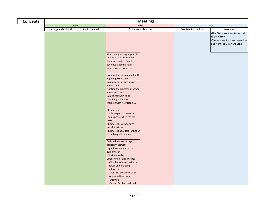| <b>Concepts</b> | <b>Meetings</b>       |               |                                                                                                                                                                                                                                                                                                                                                                                                                                                                                                                                        |                             |                     |                                                                                                                        |  |  |
|-----------------|-----------------------|---------------|----------------------------------------------------------------------------------------------------------------------------------------------------------------------------------------------------------------------------------------------------------------------------------------------------------------------------------------------------------------------------------------------------------------------------------------------------------------------------------------------------------------------------------------|-----------------------------|---------------------|------------------------------------------------------------------------------------------------------------------------|--|--|
|                 | $15-Sep$              |               |                                                                                                                                                                                                                                                                                                                                                                                                                                                                                                                                        | 22-Sep                      |                     | $13-Oct$                                                                                                               |  |  |
|                 | Heritage and Cultural | Environmental |                                                                                                                                                                                                                                                                                                                                                                                                                                                                                                                                        | <b>Business and Tourism</b> | Gov, Muni and Admin | Recreation                                                                                                             |  |  |
|                 |                       |               | When you put long segments<br>together (at least 50 miles<br>distance) is when Canal                                                                                                                                                                                                                                                                                                                                                                                                                                                   |                             |                     | -The D&L is seen as a trunk trail<br>to the Circuit<br>-More connections are desired to<br>and from the Delaware Canal |  |  |
|                 |                       |               | becomes a destination as<br>more services are needed<br>Great potential to market with<br>adjoining D&R Canal<br>Do many businesses know<br>about Canal?<br>-Getting them better informed<br>about the Canal<br>-Might get them to be<br>sustaining members<br>Working with New Hope CC<br>-Businesses<br>-Mule barge and water in<br>Canal is issue when it's not<br>there<br>-Businesses say they have<br>heard it before<br>-Businesses have lost faith that<br>something will happen<br>Easton downtown-Huge<br>capital investment |                             |                     |                                                                                                                        |  |  |
|                 |                       |               | -Significant annual cost to<br>pump water<br>-DCNR owns dam<br><b>Opportunities and Threats</b><br>-Number of obstructions at<br>lower end are being<br>addressed<br>-Plans for possible visitor<br>center in New Hope<br>-Odette's<br>-Easton Pavilion, railroad                                                                                                                                                                                                                                                                      |                             |                     |                                                                                                                        |  |  |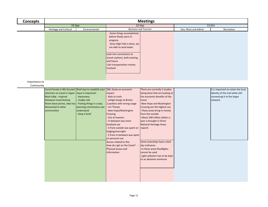| <b>Concepts</b>            |                                                                                                                                                                                                                                                                          | <b>Meetings</b>                                                                                            |                                                                                                                                                                                                                                                                                                                                                                                                                                                                                       |                                                                                                                                                                                                                                                                                                                                  |                     |                                                                                                                    |  |
|----------------------------|--------------------------------------------------------------------------------------------------------------------------------------------------------------------------------------------------------------------------------------------------------------------------|------------------------------------------------------------------------------------------------------------|---------------------------------------------------------------------------------------------------------------------------------------------------------------------------------------------------------------------------------------------------------------------------------------------------------------------------------------------------------------------------------------------------------------------------------------------------------------------------------------|----------------------------------------------------------------------------------------------------------------------------------------------------------------------------------------------------------------------------------------------------------------------------------------------------------------------------------|---------------------|--------------------------------------------------------------------------------------------------------------------|--|
|                            | 15-Sep                                                                                                                                                                                                                                                                   |                                                                                                            |                                                                                                                                                                                                                                                                                                                                                                                                                                                                                       | 22-Sep                                                                                                                                                                                                                                                                                                                           | 13-Oct              |                                                                                                                    |  |
|                            | Heritage and Cultural                                                                                                                                                                                                                                                    | Environmental                                                                                              |                                                                                                                                                                                                                                                                                                                                                                                                                                                                                       | <b>Business and Tourism</b>                                                                                                                                                                                                                                                                                                      | Gov, Muni and Admin | Recreation                                                                                                         |  |
| Importance to<br>Community | Canal Parade in 90s focused Brief way to establish your D&L Study on economic<br>attention on Canal in Upper<br><b>Black Eddy - Inspired</b><br>Delaware Canal festival,<br>Shore leave picnics, Idea has - Putting things in a way<br>blossomed to other<br>communities | input is important:<br>Awareness<br>Usable info<br>planning commissions can<br>understand<br>Keep it brief | -Some things accomplished<br>before floods were in<br>progress<br>-Once High Falls is done, we<br>are able to send water<br>Look into connections to<br>transit stations, both existing<br>and future<br>-Get transportation money<br>involved<br>impact:<br>Rails to trails<br>- Lehigh Gorge to Bristol<br>2 pockets with strong usage<br>- Jim Thorpe<br>New Hope/Washington<br>Crossing<br>Out of towners<br>In between was more<br>localized use<br>\$ from outside was spent on | There are currently 2 studies<br>being done that are looking at<br>the economic benefits of the<br>Canal<br>-New Hope and Washington<br>Crossing are the highest use<br>-These areas bring in money<br>from the outside<br>-About 248 million dollars a<br>year is brought in (from<br><b>National Heritage Areas</b><br>report) |                     | It is important to retain the local<br>identity of the trail while still<br>connecting it to the larger<br>network |  |
|                            |                                                                                                                                                                                                                                                                          |                                                                                                            | lodging/overnight<br>\$ from in-between was spent<br>on personal use<br>Access related to this:<br>How do I get on the Canal?<br>Physical access and<br>information                                                                                                                                                                                                                                                                                                                   | Some townships have a dark<br>sky ordinance<br>-In these areas floodlights<br>cannot be used<br>-Light pollution has to be kept<br>to an absolute minimum                                                                                                                                                                        |                     |                                                                                                                    |  |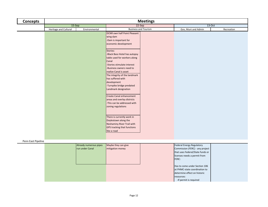| <b>Concepts</b> |                       |               | <b>Meetings</b>                                                                                                                                                                                                                                                                                                                                                                                                                                                                                                |                             |                     |            |  |
|-----------------|-----------------------|---------------|----------------------------------------------------------------------------------------------------------------------------------------------------------------------------------------------------------------------------------------------------------------------------------------------------------------------------------------------------------------------------------------------------------------------------------------------------------------------------------------------------------------|-----------------------------|---------------------|------------|--|
|                 | 15-Sep                |               | 22-Sep                                                                                                                                                                                                                                                                                                                                                                                                                                                                                                         |                             |                     | $13-Oct$   |  |
|                 | Heritage and Cultural | Environmental |                                                                                                                                                                                                                                                                                                                                                                                                                                                                                                                | <b>Business and Tourism</b> |                     | Recreation |  |
|                 |                       |               | DCNR own half Point Pleasant<br>wing dam<br>-Dam is important for<br>economic development<br>Stories:<br>-Black Bass Hotel has autopsy<br>table used for workers along<br>Canal<br>-Stories stimulate interest<br>-Business owners need to<br>realize Canal is asset<br>The integrity of the landmark<br>has suffered with<br>development<br>-Turnpike bridge predated<br>Landmark designation<br>Create Canal enhancement<br>areas and overlay districts<br>-This can be addressed with<br>zoning regulations |                             | Gov, Muni and Admin |            |  |
|                 |                       |               | There is currently work in<br>Doylestown along the<br>Neshaminy River Trail with<br><b>GPS tracking that functions</b><br>like a road                                                                                                                                                                                                                                                                                                                                                                          |                             |                     |            |  |

## Penn East Pipeline

| Already numerous pipes<br>run under Canal | Maybe they can give<br>mitigation money | Federal Energy Regulatory<br>Commission (FERC) - any project<br>that uses Federal/State funds or<br>licenses needs a permit from<br><b>FERC:</b> |  |
|-------------------------------------------|-----------------------------------------|--------------------------------------------------------------------------------------------------------------------------------------------------|--|
|                                           |                                         | Has to come under Section 106<br>at PHMC-state coordination to<br>determine effect on historic<br>resources:<br>-If permit is required           |  |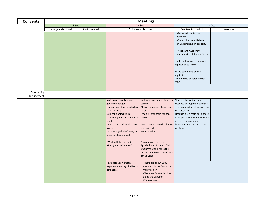| <b>Concepts</b>          |                       | <b>Meetings</b> |                                                                                                                                                                                                                                                                                                                                |                                                                                                                                                                                                                                                                                                                                                     |                                                                                                                                                                                                                                             |            |  |  |
|--------------------------|-----------------------|-----------------|--------------------------------------------------------------------------------------------------------------------------------------------------------------------------------------------------------------------------------------------------------------------------------------------------------------------------------|-----------------------------------------------------------------------------------------------------------------------------------------------------------------------------------------------------------------------------------------------------------------------------------------------------------------------------------------------------|---------------------------------------------------------------------------------------------------------------------------------------------------------------------------------------------------------------------------------------------|------------|--|--|
|                          | 15-Sep                |                 |                                                                                                                                                                                                                                                                                                                                | 22-Sep                                                                                                                                                                                                                                                                                                                                              | 13-Oct                                                                                                                                                                                                                                      |            |  |  |
|                          | Heritage and Cultural | Environmental   |                                                                                                                                                                                                                                                                                                                                | <b>Business and Tourism</b>                                                                                                                                                                                                                                                                                                                         | Gov, Muni and Admin                                                                                                                                                                                                                         | Recreation |  |  |
|                          |                       |                 |                                                                                                                                                                                                                                                                                                                                |                                                                                                                                                                                                                                                                                                                                                     | -Perform inventory of<br>resources<br>-Determine potential effects<br>of undertaking on property                                                                                                                                            |            |  |  |
|                          |                       |                 |                                                                                                                                                                                                                                                                                                                                |                                                                                                                                                                                                                                                                                                                                                     | -Applicant must show<br>methods to minimize effects                                                                                                                                                                                         |            |  |  |
|                          |                       |                 |                                                                                                                                                                                                                                                                                                                                |                                                                                                                                                                                                                                                                                                                                                     | The Penn East was a minimum<br>application to PHMC                                                                                                                                                                                          |            |  |  |
|                          |                       |                 |                                                                                                                                                                                                                                                                                                                                |                                                                                                                                                                                                                                                                                                                                                     | PHMC comments on the<br>application<br>The ultimate decision is with<br><b>FERC</b>                                                                                                                                                         |            |  |  |
|                          |                       |                 |                                                                                                                                                                                                                                                                                                                                |                                                                                                                                                                                                                                                                                                                                                     |                                                                                                                                                                                                                                             |            |  |  |
| Community<br>Includement |                       |                 |                                                                                                                                                                                                                                                                                                                                |                                                                                                                                                                                                                                                                                                                                                     |                                                                                                                                                                                                                                             |            |  |  |
|                          |                       |                 | Visit Bucks County is not<br>government agent<br>-Larger focus than break down<br>of attractions<br>-Almost landlocked in<br>promoting Bucks County as a<br>whole<br>-A lot of attractions that are<br>iconic<br>Promoting whole County but<br>using local iconography<br>-Work with Lehigh and<br><b>Montgomery Counties?</b> | Do locals even know about the Where is Bucks County's<br>Canal?<br>Above Plumsteadville is very<br>rural<br>People come from the top<br>down<br>Not a connection with Easton<br>city and trail<br>No pro-action<br>A gentleman from the<br>Appalachian Mountain Club<br>was present to discuss the<br>Delaware Valley Chapter's use<br>of the Canal | presence during the meetings?<br>-They are invited, along with the<br>municipalities.<br>-Because it is a state park, there<br>is the perception that it may not<br>be their responsibility.<br>-Press has been invited to the<br>meetings. |            |  |  |
|                          |                       |                 | <b>Regionalization creates</b><br>experience - Array of allies on<br>both sides                                                                                                                                                                                                                                                | -There are about 5000<br>members in the Delaware<br>Valley region<br>-There are 8-10 mile hikes<br>along the Canal on<br>Wednesdays                                                                                                                                                                                                                 |                                                                                                                                                                                                                                             |            |  |  |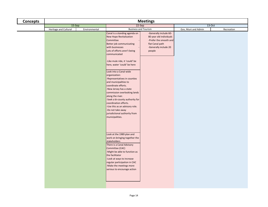| <b>Concepts</b> | <b>Meetings</b>       |               |                                                                                                                                                                                                                                                                                                                                                                                                                                                                                                                                                                                                                        |                                                                                                                                   |                     |            |  |  |
|-----------------|-----------------------|---------------|------------------------------------------------------------------------------------------------------------------------------------------------------------------------------------------------------------------------------------------------------------------------------------------------------------------------------------------------------------------------------------------------------------------------------------------------------------------------------------------------------------------------------------------------------------------------------------------------------------------------|-----------------------------------------------------------------------------------------------------------------------------------|---------------------|------------|--|--|
|                 | $15-Sep$              |               | 22-Sep                                                                                                                                                                                                                                                                                                                                                                                                                                                                                                                                                                                                                 |                                                                                                                                   | $13-Oct$            |            |  |  |
|                 | Heritage and Cultural | Environmental | <b>Business and Tourism</b>                                                                                                                                                                                                                                                                                                                                                                                                                                                                                                                                                                                            |                                                                                                                                   | Gov, Muni and Admin | Recreation |  |  |
|                 |                       |               | Canal is a standing agenda on<br>New Hope Revitalization<br>Committee<br>Better job communicating<br>with businesses<br>Lots of efforts aren't being<br>communicated<br>-Like mule ride, it 'could' be<br>here, water 'could' be here<br>Look into a Canal-wide<br>organization:<br>-Representatives in counties<br>and municipalities to<br>coordinate efforts.<br>-New Jersey has a state<br>commission overlooking lands<br>along the river.<br>-Seek a bi-county authority for<br>coordination efforts.<br>-Use this as an advisory role.<br>-Do not take away<br>jurisdictional authority from<br>municipalities. | -Generally include 60-<br>80 year old individuals<br>-Prefer the smooth and<br>flat Canal path<br>-Generally include 20<br>people |                     |            |  |  |
|                 |                       |               | Look at the 1989 plan and<br>work on bringing together the<br>stakeholders<br>There is a Canal Advisory<br>Committee (CAC)<br>-Might be able to function as<br>the facilitator<br>-Look at ways to increase<br>regular participation in CAC<br>-Make the meetings more<br>serious to encourage action                                                                                                                                                                                                                                                                                                                  |                                                                                                                                   |                     |            |  |  |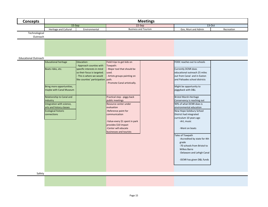| <b>Concepts</b>             | <b>Meetings</b>                                                                                                                             |                                                                                                                                                                  |                                                                                                                                                                                                                                             |  |                                                                                                                                                                                                                                                                                                                                                                                                                      |            |  |
|-----------------------------|---------------------------------------------------------------------------------------------------------------------------------------------|------------------------------------------------------------------------------------------------------------------------------------------------------------------|---------------------------------------------------------------------------------------------------------------------------------------------------------------------------------------------------------------------------------------------|--|----------------------------------------------------------------------------------------------------------------------------------------------------------------------------------------------------------------------------------------------------------------------------------------------------------------------------------------------------------------------------------------------------------------------|------------|--|
|                             | 15-Sep                                                                                                                                      |                                                                                                                                                                  | 22-Sep                                                                                                                                                                                                                                      |  | 13-Oct                                                                                                                                                                                                                                                                                                                                                                                                               |            |  |
|                             | Heritage and Cultural                                                                                                                       | Environmental                                                                                                                                                    | <b>Business and Tourism</b>                                                                                                                                                                                                                 |  | Gov, Muni and Admin                                                                                                                                                                                                                                                                                                                                                                                                  | Recreation |  |
| Technological<br>Outreach   |                                                                                                                                             |                                                                                                                                                                  |                                                                                                                                                                                                                                             |  |                                                                                                                                                                                                                                                                                                                                                                                                                      |            |  |
| <b>Educational Outreach</b> | <b>Educational heritage</b><br>Boats rides, etc.<br>Bring more opportunities,<br>maybe with Canal Museum                                    | Education:<br>- Approach counties with<br>specific interests in mind<br>so their focus is targeted.<br>- This is where we would<br>like counties' participation. | Field trips to get kids on<br>Towpath:<br>Major tool that should be<br>used.<br>- Artists groups painting on<br>path.<br>Promote Canal artistically.                                                                                        |  | FODC reaches out to schools<br>Currently DCNR does<br>educational outreach 25 miles<br>out from Canal and in Easton<br>and Palisades school districts<br>Might be opportunity to<br>piggyback with D&L                                                                                                                                                                                                               |            |  |
|                             | Relationship to Canal and<br>industry<br>Integration with science,<br>arts and history classes<br><b>Ecological historic</b><br>connections |                                                                                                                                                                  | Practical step - piggy back<br>public meetings<br>Resource center under<br>evaluation<br>-Reference point for<br>communication<br>-Value-every \$1 spent in park<br>provides \$10 impact<br>-Center will educate<br>businesses and tourists |  | <b>Bristol Marsh-Heritage</b><br>Conservancy is reaching out<br>90% of what DCNR does is<br>environmental education<br>New Hope-Solebury School<br>District had integrated<br>curriculum 10 years ago<br>-Art, music<br>-Went on boats<br>Tales of Towpath<br>-Accredited by state for 4th<br>grade<br>-70 schools from Bristol to<br><b>Wilkes Barre</b><br>-Delaware and Lehigh Canal<br>-DCNR has given D&L funds |            |  |
| Safety                      |                                                                                                                                             |                                                                                                                                                                  |                                                                                                                                                                                                                                             |  |                                                                                                                                                                                                                                                                                                                                                                                                                      |            |  |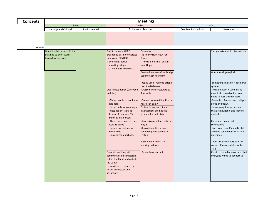| <b>Concepts</b> | <b>Meetings</b>                                                                |               |                                                                                                                                                                                                                                                                                                                                                                                                                                                                                                                                                                                                                                        |                                                                                                                                                                                                                                                                                                                                                                                                                                                                                                                                                                                        |                     |                                                                                                                                                                                                                                                                                                                                                                                                                                                                                                                                                                                                                                    |  |
|-----------------|--------------------------------------------------------------------------------|---------------|----------------------------------------------------------------------------------------------------------------------------------------------------------------------------------------------------------------------------------------------------------------------------------------------------------------------------------------------------------------------------------------------------------------------------------------------------------------------------------------------------------------------------------------------------------------------------------------------------------------------------------------|----------------------------------------------------------------------------------------------------------------------------------------------------------------------------------------------------------------------------------------------------------------------------------------------------------------------------------------------------------------------------------------------------------------------------------------------------------------------------------------------------------------------------------------------------------------------------------------|---------------------|------------------------------------------------------------------------------------------------------------------------------------------------------------------------------------------------------------------------------------------------------------------------------------------------------------------------------------------------------------------------------------------------------------------------------------------------------------------------------------------------------------------------------------------------------------------------------------------------------------------------------------|--|
|                 | 15-Sep                                                                         |               |                                                                                                                                                                                                                                                                                                                                                                                                                                                                                                                                                                                                                                        | $22-Sep$                                                                                                                                                                                                                                                                                                                                                                                                                                                                                                                                                                               | 13-Oct              |                                                                                                                                                                                                                                                                                                                                                                                                                                                                                                                                                                                                                                    |  |
|                 | Heritage and Cultural                                                          | Environmental |                                                                                                                                                                                                                                                                                                                                                                                                                                                                                                                                                                                                                                        | <b>Business and Tourism</b>                                                                                                                                                                                                                                                                                                                                                                                                                                                                                                                                                            | Gov, Muni and Admin | Recreation                                                                                                                                                                                                                                                                                                                                                                                                                                                                                                                                                                                                                         |  |
| Access          | Limited public access, In the<br>past had to enter water<br>through residences |               | Back in January, GLCC<br>broadened base of coverage<br>to become GLNHCC.<br>-Something special,<br>connecting bridge.<br>-300 members in GLNHCC.<br>Create destination (everyone<br>said this):<br>-Many people do not know<br>it is here.<br>-In the midst of creating a<br>"destination' (a place<br>beyond 1 hour and 15<br>minutes of an origin).<br>-These are resources they<br>want to enjoy.<br>-People are looking for<br>more to do.<br>-Looking for a package.<br>Currently working with<br>communities on connectors<br>within the Canal and outside<br>the Canal<br>-This will be a resource for<br>future businesses and | Promotion<br>-36 hour visit in New York<br><b>Times</b><br>-They said no canal boat in<br>New Hope<br>Easton downtown-Foot bridge<br>used to exist near dam<br>-Rogue use of railroad bridge<br>over the Delaware<br>-Crossed from Westward to<br>Southside<br>-Can we do something like this<br>near or at dam?<br>Easton-downtown: Some<br>intersections are not the<br>greatest for pedestrians<br>-Access is a problem, only one<br>way in<br>Morris Canal Greenway -<br>connecting Philipsburg to<br>Easton<br>Easton downtown-D&L is<br>working on loops<br>-Do not have one yet |                     | Turf grass is hard to hike and bike<br>Operational gates/locks:<br>-Something like New Hope Barge<br>system.<br>-Point Pleasant / Lumberville<br>need locks operable for canal<br>boats to pass through locks.<br>-Example is Amsterdam, bridges<br>go up and down.<br>-In mapping, look at segments<br>that are navigable and identify<br>obstacles<br>Community park trail<br>connections<br>-Like River Front Park in Bristol<br>-Provide connections to various<br>amenities<br>There are preliminary plans to<br>connect Plumsteadville to the<br>Trail<br>Create a thread or a corridor that<br>everyone wants to connect to |  |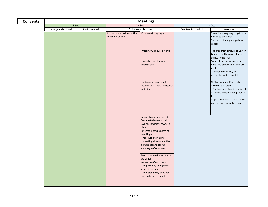| <b>Concepts</b> |                       | <b>Meetings</b> |                                                       |                                                                                                                                                                                                                                                     |                     |                                                                                                                                                                                                          |  |  |
|-----------------|-----------------------|-----------------|-------------------------------------------------------|-----------------------------------------------------------------------------------------------------------------------------------------------------------------------------------------------------------------------------------------------------|---------------------|----------------------------------------------------------------------------------------------------------------------------------------------------------------------------------------------------------|--|--|
|                 | 15-Sep                |                 |                                                       | 22-Sep                                                                                                                                                                                                                                              | 13-Oct              |                                                                                                                                                                                                          |  |  |
|                 | Heritage and Cultural | Environmental   |                                                       | <b>Business and Tourism</b>                                                                                                                                                                                                                         | Gov, Muni and Admin | Recreation                                                                                                                                                                                               |  |  |
|                 |                       |                 | It is important to look at the<br>region holistically | -Trouble with signage                                                                                                                                                                                                                               |                     | There is no easy way to get from<br>Easton to the Canal<br>This cuts off a large population<br>center                                                                                                    |  |  |
|                 |                       |                 |                                                       | -Working with public works                                                                                                                                                                                                                          |                     | The area from Tinicum to Easton<br>is underused because of less<br>access to the Trail                                                                                                                   |  |  |
|                 |                       |                 |                                                       | -Opportunities for loop<br>through city                                                                                                                                                                                                             |                     | Some of the bridges over the<br>Canal are private and some are<br>public<br>-It is not always easy to<br>determine which is which                                                                        |  |  |
|                 |                       |                 |                                                       | -Easton is on board, but<br>focused on 2 rivers connection<br>up to Gap                                                                                                                                                                             |                     | SEPTA station in Morrisville:<br>No current station<br>Rail line runs close to the Canal<br>- There is undeveloped property<br>here<br>- Opportunity for a train station<br>and easy access to the Canal |  |  |
|                 |                       |                 |                                                       | Dam at Easton was built to<br>feed the Delaware Canal<br>D&L has landmark towns in<br>place<br>-Interest in towns north of<br>New Hope<br>-This could evolve into<br>connecting all communities<br>along canal and taking<br>advantage of resources |                     |                                                                                                                                                                                                          |  |  |
|                 |                       |                 |                                                       | Assets that are important to<br>the Canal<br>-Numerous Canal towns<br>-The proximity and gaining<br>access to nature<br>-The Vision Study does not<br>have to be all economic                                                                       |                     |                                                                                                                                                                                                          |  |  |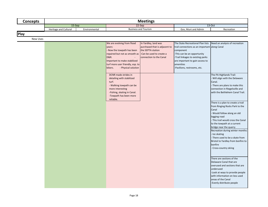| <b>Concepts</b> | <b>Meetings</b>                        |  |                                                                                                                                                                                                                                                                                                                                                                                                                |                                                                                                                                   |                                                                                                                                                                                                                                                    |                                                                                                                                                                                                                                                                                                                                                                                                                                                                                                                                                                                                                                                                                                                                                                                                                                     |  |  |
|-----------------|----------------------------------------|--|----------------------------------------------------------------------------------------------------------------------------------------------------------------------------------------------------------------------------------------------------------------------------------------------------------------------------------------------------------------------------------------------------------------|-----------------------------------------------------------------------------------------------------------------------------------|----------------------------------------------------------------------------------------------------------------------------------------------------------------------------------------------------------------------------------------------------|-------------------------------------------------------------------------------------------------------------------------------------------------------------------------------------------------------------------------------------------------------------------------------------------------------------------------------------------------------------------------------------------------------------------------------------------------------------------------------------------------------------------------------------------------------------------------------------------------------------------------------------------------------------------------------------------------------------------------------------------------------------------------------------------------------------------------------------|--|--|
|                 | 15-Sep                                 |  |                                                                                                                                                                                                                                                                                                                                                                                                                | 22-Sep                                                                                                                            | 13-Oct                                                                                                                                                                                                                                             |                                                                                                                                                                                                                                                                                                                                                                                                                                                                                                                                                                                                                                                                                                                                                                                                                                     |  |  |
|                 | Heritage and Cultural<br>Environmental |  |                                                                                                                                                                                                                                                                                                                                                                                                                | <b>Business and Tourism</b>                                                                                                       |                                                                                                                                                                                                                                                    | Recreation                                                                                                                                                                                                                                                                                                                                                                                                                                                                                                                                                                                                                                                                                                                                                                                                                          |  |  |
| <b>Play</b>     |                                        |  |                                                                                                                                                                                                                                                                                                                                                                                                                |                                                                                                                                   |                                                                                                                                                                                                                                                    |                                                                                                                                                                                                                                                                                                                                                                                                                                                                                                                                                                                                                                                                                                                                                                                                                                     |  |  |
|                 |                                        |  |                                                                                                                                                                                                                                                                                                                                                                                                                |                                                                                                                                   |                                                                                                                                                                                                                                                    |                                                                                                                                                                                                                                                                                                                                                                                                                                                                                                                                                                                                                                                                                                                                                                                                                                     |  |  |
| <b>New Uses</b> |                                        |  | We are evolving from flood<br>years:<br>Now the towpath has been<br>repaired but not as smooth as<br><b>D&amp;R.</b><br>Important to make stabilized<br>turf more user friendly, esp. to<br>bikers.<br>- Physical solution<br>DCNR made strides in<br>detailing with stabilized<br>turf.<br>- Walking towpath can be<br>more interesting<br>-Fishing, skating in Canal.<br>-Towpath has been more<br>reliable. | In Yardley, land was<br>purchased that is adjacent to<br>the SEPTA station<br>-Can be used to create a<br>connection to the Canal | The State Recreational Plan lists<br>trail connections as an important along Canal<br>component<br>-This can be an opportunity<br>-Trail linkages to existing parks<br>are important to gain access to<br>amenities<br>-Pavilions, restrooms, etc. | Need an analysis of recreation<br>The PA Highlands Trail:<br>- Will align with the Delaware<br>Canal.<br>- There are plans to make this<br>connection in Riegelsville and<br>with the Bethlehem Canal Trail.<br>There is a plan to create a trail<br>from Ringing Rocks Park to the<br>Canal<br>Would follow along an old<br>logging road<br>This trail would cross the Canal<br>to the towpath at a current<br>bridge near the quarry<br>Recreation during winter months:<br>Ice skating<br>- There used to be a skate from<br>Bristol to Yardley from bonfire to<br>bonfire<br>Cross-country skiing<br>There are sections of the<br>Delaware Canal that are<br>overused and sections that are<br>underused<br>-Look at ways to provide people<br>with information on less used<br>areas of the Canal<br>-Evenly distribute people |  |  |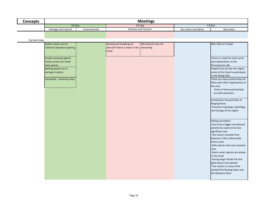| <b>Concepts</b>     | <b>Meetings</b>                                   |               |                                                                        |                             |                     |                                                                      |  |  |
|---------------------|---------------------------------------------------|---------------|------------------------------------------------------------------------|-----------------------------|---------------------|----------------------------------------------------------------------|--|--|
|                     | $15-Sep$                                          |               |                                                                        | 22-Sep                      | $13-Oct$            |                                                                      |  |  |
|                     | Heritage and Cultural                             | Environmental |                                                                        | <b>Business and Tourism</b> | Gov, Muni and Admin | Recreation                                                           |  |  |
|                     |                                                   |               |                                                                        |                             |                     |                                                                      |  |  |
|                     |                                                   |               |                                                                        |                             |                     |                                                                      |  |  |
| <b>Current Uses</b> |                                                   |               |                                                                        |                             |                     |                                                                      |  |  |
|                     | Rubber ducky race at<br>Tohickon Aqueduct opening |               | Boating and kayaking are<br>desired if there is water in the welcoming | Old museum was not          |                     | Bike rides on Fridays                                                |  |  |
|                     |                                                   |               | Canal                                                                  |                             |                     |                                                                      |  |  |
|                     |                                                   |               |                                                                        |                             |                     |                                                                      |  |  |
|                     | People canoeing against                           |               |                                                                        |                             |                     | There is a need for more lunch                                       |  |  |
|                     | Canal current can travel                          |               |                                                                        |                             |                     | spot destinations on the                                             |  |  |
|                     | back upriver                                      |               |                                                                        |                             |                     | Pennsylvania side                                                    |  |  |
|                     | Battling poison ivy to                            |               |                                                                        |                             |                     | People from all over the region                                      |  |  |
|                     | portage in places                                 |               |                                                                        |                             |                     | come to the Canal to participate                                     |  |  |
|                     |                                                   |               |                                                                        |                             |                     | in the hiking trips                                                  |  |  |
|                     | Viewsheds - retaining vistas                      |               |                                                                        |                             |                     | There are many partnerships for<br>hikes with other organizations in |  |  |
|                     |                                                   |               |                                                                        |                             |                     | the area                                                             |  |  |
|                     |                                                   |               |                                                                        |                             |                     | -Some of these partnerships                                          |  |  |
|                     |                                                   |               |                                                                        |                             |                     | are with educators.                                                  |  |  |
|                     |                                                   |               |                                                                        |                             |                     |                                                                      |  |  |
|                     |                                                   |               |                                                                        |                             |                     | Interpretive focused hikes at                                        |  |  |
|                     |                                                   |               |                                                                        |                             |                     | <b>Ringing Rocks</b>                                                 |  |  |
|                     |                                                   |               |                                                                        |                             |                     | -Focused on geology, hydrology,                                      |  |  |
|                     |                                                   |               |                                                                        |                             |                     | and ecology of the region                                            |  |  |
|                     |                                                   |               |                                                                        |                             |                     |                                                                      |  |  |
|                     |                                                   |               |                                                                        |                             |                     | Fishing recreation:                                                  |  |  |
|                     |                                                   |               |                                                                        |                             |                     | -Use to be a bigger recreational                                     |  |  |
|                     |                                                   |               |                                                                        |                             |                     | activity but seems to be less                                        |  |  |
|                     |                                                   |               |                                                                        |                             |                     | significant now                                                      |  |  |
|                     |                                                   |               |                                                                        |                             |                     | -The Canal is stocked from                                           |  |  |
|                     |                                                   |               |                                                                        |                             |                     | Bowman's Hill to Morrisville                                         |  |  |
|                     |                                                   |               |                                                                        |                             |                     | twice a year                                                         |  |  |
|                     |                                                   |               |                                                                        |                             |                     | -Bulls Island is the most stocked<br>area                            |  |  |
|                     |                                                   |               |                                                                        |                             |                     | -Warm water species are always                                       |  |  |
|                     |                                                   |               |                                                                        |                             |                     | in the Canal                                                         |  |  |
|                     |                                                   |               |                                                                        |                             |                     | -During larger floods the lock                                       |  |  |
|                     |                                                   |               |                                                                        |                             |                     | gates have to be opened                                              |  |  |
|                     |                                                   |               |                                                                        |                             |                     | -This results in many of the                                         |  |  |
|                     |                                                   |               |                                                                        |                             |                     | stocked fish flowing down into                                       |  |  |
|                     |                                                   |               |                                                                        |                             |                     | the Delaware River                                                   |  |  |
|                     |                                                   |               |                                                                        |                             |                     |                                                                      |  |  |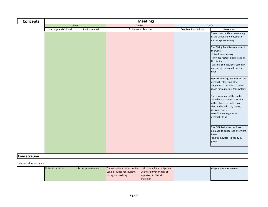| <b>Concepts</b> |                       |               | <b>Meetings</b>             |                     |                                                                                                                                                                                                            |  |
|-----------------|-----------------------|---------------|-----------------------------|---------------------|------------------------------------------------------------------------------------------------------------------------------------------------------------------------------------------------------------|--|
|                 | 15-Sep                |               | 22-Sep                      | 13-Oct              |                                                                                                                                                                                                            |  |
|                 | Heritage and Cultural | Environmental | <b>Business and Tourism</b> | Gov, Muni and Admin | Recreation                                                                                                                                                                                                 |  |
|                 |                       |               |                             |                     | There is currently no swimming<br>in the Canal and no desire to<br>encourage swimming                                                                                                                      |  |
|                 |                       |               |                             |                     | The Giving Pond is a real asset to<br>the Canal<br>-It is a former quarry<br>-Provides recreational activities<br>like fishing<br>-Water also occasional comes in<br>and out of the pond from the<br>river |  |
|                 |                       |               |                             |                     | Morrisville is a great location for<br>overnight stays and other<br>amenities - Location at a cross-<br>roads for numerous trail systems                                                                   |  |
|                 |                       |               |                             |                     | The current use of the trail is<br>aimed more towards day trips<br>rather than overnight trips<br>-Bed and Breakfasts, kiosks,<br>restrooms, etc.<br>-Would encourage more<br>overnight trips              |  |
|                 |                       |               |                             |                     | The D&L Trail does not have to<br>do much to encourage overnight<br>travel<br>-The framework is already in<br>place                                                                                        |  |

## **Conservation**

Historical Importance

| <b>Historic character</b> | Historic preservation: | The recreational aspect of the Locks, camelback bridges and |                            | Adapting for modern use |
|---------------------------|------------------------|-------------------------------------------------------------|----------------------------|-------------------------|
|                           |                        | Canal provides for tourism,                                 | Delaware River bridges all |                         |
|                           |                        | biking, and walking                                         | important to historic      |                         |
|                           |                        |                                                             | <b>I</b> character         |                         |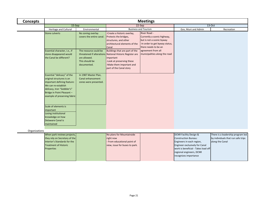| <b>Concepts</b> |                                                                                                                                                                                                            |                                                                        | <b>Meetings</b>                                                                                                                                                                             |                                                                                                                                    |                                                                                                                                                                                                                             |                                                                                            |
|-----------------|------------------------------------------------------------------------------------------------------------------------------------------------------------------------------------------------------------|------------------------------------------------------------------------|---------------------------------------------------------------------------------------------------------------------------------------------------------------------------------------------|------------------------------------------------------------------------------------------------------------------------------------|-----------------------------------------------------------------------------------------------------------------------------------------------------------------------------------------------------------------------------|--------------------------------------------------------------------------------------------|
|                 | $15-Sep$                                                                                                                                                                                                   |                                                                        | 22-Sep                                                                                                                                                                                      |                                                                                                                                    | $13-Oct$                                                                                                                                                                                                                    |                                                                                            |
|                 | <b>Heritage and Cultural</b>                                                                                                                                                                               | Environmental                                                          |                                                                                                                                                                                             | <b>Business and Tourism</b>                                                                                                        | Gov, Muni and Admin                                                                                                                                                                                                         | Recreation                                                                                 |
|                 | <b>Stone culverts</b>                                                                                                                                                                                      | No zoning overlay<br>covers the entire canal.                          | -Create a historic overlay,<br>Protects the bridges,<br>structures, and other<br>architectural elements of the<br>Canal                                                                     | River Road -<br>Currently a scenic highway,<br>but is not a scenic byway<br>-In order to get byway status,<br>there needs to be an |                                                                                                                                                                                                                             |                                                                                            |
|                 | Essential character, i.e., if<br>stone disappeared would<br>the Canal be different?                                                                                                                        | The resource could be<br>are allowed.<br>This should be<br>documented. | Buildings that are part of the<br>threatened if alterations National Historic Register are<br>important<br>-Look at preserving these<br>-Make them important and<br>part of the Canal story | agreement from all<br>municipalities along the road                                                                                |                                                                                                                                                                                                                             |                                                                                            |
|                 | Essential "delicacy" of the<br>original structures is an<br>important defining feature:<br>We can re-establish<br>delicacy, Iron "Gobbler's"<br>Bridge in Point Pleasant -<br>example of preserving fabric | In 1987 Master Plan,<br>Canal enhancement<br>zones were presented.     |                                                                                                                                                                                             |                                                                                                                                    |                                                                                                                                                                                                                             |                                                                                            |
|                 | Scale of elements is<br>important<br>Losing institutional<br>knowledge on how<br><b>Delaware Canal is</b><br>maintained                                                                                    |                                                                        |                                                                                                                                                                                             |                                                                                                                                    |                                                                                                                                                                                                                             |                                                                                            |
| Organizations   |                                                                                                                                                                                                            |                                                                        |                                                                                                                                                                                             |                                                                                                                                    |                                                                                                                                                                                                                             |                                                                                            |
|                 | When park reviews projects,<br>they rely on Secretary of the<br>Interior's Standards for the<br><b>Treatment of Historic</b><br>Properties                                                                 |                                                                        | No plans for Mountainside<br>right now<br>- From educational point of<br>view, issue for buses to park.                                                                                     |                                                                                                                                    | <b>DCNR Facility Design &amp;</b><br><b>Construction Bureau:</b><br>Engineers in each region,<br>Engineer exclusively for Canal<br>work is beneficial - Takes load off<br>regional engineers, DCNR<br>recognizes importance | There is a leadership program led<br>by individuals that run safe trips<br>along the Canal |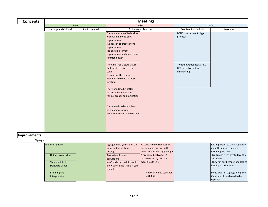| <b>Concepts</b> | <b>Meetings</b>       |               |                                                                                                                                                                                                     |  |                                                                 |            |  |
|-----------------|-----------------------|---------------|-----------------------------------------------------------------------------------------------------------------------------------------------------------------------------------------------------|--|-----------------------------------------------------------------|------------|--|
|                 | $15-$ Sep             |               | 22-Sep                                                                                                                                                                                              |  | 13-Oct                                                          |            |  |
|                 | Heritage and Cultural | Environmental | <b>Business and Tourism</b>                                                                                                                                                                         |  | Gov, Muni and Admin                                             | Recreation |  |
|                 |                       |               | There are layers of federal to<br>local with many existing<br>organizations<br>-No reason to create more<br>organizations<br>-Re-envision current<br>organizations and make them<br>function better |  | DCNR contracts out bigger<br>projects                           |            |  |
|                 |                       |               | The Canal has a State Caucus<br>that meets to discuss the<br>Canal<br>-Encourage the Caucus<br>members to come to these<br>meetings                                                                 |  | Tohickon Aqueduct DCNR /<br>DEP did substructure<br>engineering |            |  |
|                 |                       |               | There needs to be better<br>organization within the<br>various groups and legislation                                                                                                               |  |                                                                 |            |  |
|                 |                       |               | There needs to be emphasis<br>on the importance of<br>maintenance and stewardship                                                                                                                   |  |                                                                 |            |  |

## **Improvements**

## Signage

| 511454 |                     |                                |                                 |                                     |
|--------|---------------------|--------------------------------|---------------------------------|-------------------------------------|
|        | Uniform signage     | Signage while you are on the   | NJ Loop-Able to ride fast on    | It is important to think regionally |
|        |                     | canal and trying to get        | one side and history on the     | on both sides of the river          |
|        |                     | through                        | other, integrated trip package. | lincluding the river.               |
|        | Unique to corridors | Access to different            | A brochure by Byways 29         | -Trail maps were created by Wild    |
|        |                     | populations                    | regarding Jersey side has       | land Scenic.                        |
|        | Should relate to    | Info/marketing to let people   | maps (Route 29).                | -They ran out because of a lack of  |
|        | Delaware Canal      | know where the trail is if you |                                 | funding to print more.              |
|        |                     | come here                      |                                 |                                     |
|        | Branding and        |                                | How can we tie together         | Some areas of signage along the     |
|        | interpretation      |                                | with PA?                        | Canal are old and need to be        |
|        |                     |                                |                                 | replaced                            |
|        |                     |                                |                                 |                                     |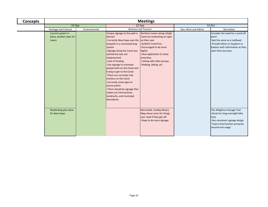| <b>Concepts</b> | <b>Meetings</b>                                        |               |                                                                                                                                                                                                                                                                                                                                                                                                                                                                                                                |                                                                                                                                                                                                                                              |                     |                                                                                                                                                                         |  |
|-----------------|--------------------------------------------------------|---------------|----------------------------------------------------------------------------------------------------------------------------------------------------------------------------------------------------------------------------------------------------------------------------------------------------------------------------------------------------------------------------------------------------------------------------------------------------------------------------------------------------------------|----------------------------------------------------------------------------------------------------------------------------------------------------------------------------------------------------------------------------------------------|---------------------|-------------------------------------------------------------------------------------------------------------------------------------------------------------------------|--|
|                 | 15-Sep                                                 |               |                                                                                                                                                                                                                                                                                                                                                                                                                                                                                                                | 22-Sep                                                                                                                                                                                                                                       |                     | 13-Oct                                                                                                                                                                  |  |
|                 | <b>Heritage and Cultural</b>                           | Environmental |                                                                                                                                                                                                                                                                                                                                                                                                                                                                                                                | <b>Business and Tourism</b>                                                                                                                                                                                                                  | Gov, Muni and Admin | Recreation                                                                                                                                                              |  |
|                 | Current system in<br>place, another layer for<br>towns |               | Unique signage to the path is<br>desired<br>Currently New Hope uses the<br>towpath in a connected loop<br>system<br>-Signage along the Canal was<br>started but was not<br>implemented<br>-Lack of funding<br>-Use signage to orientate<br>people both on the Canal and<br>trying to get to the Canal<br>-There are currently mile<br>markers on the Canal<br>-Currently some signs at<br>access points<br>-There should be signage that<br>makes out intersections,<br>landmarks, and municipal<br>boundaries | Northern towns along Lehigh<br>Canal are embarking on signs<br>on their own<br>-GLNHCC hired firm.<br>-Encouraged to be more<br>digital.<br>-Have application to show<br>amenities.<br>-Linking with other groups.<br>-Walking, biking, etc. |                     | Consider the need for a send-off<br>point<br>-Not the same as a trailhead<br>-Provide bikers or kayakers or<br>boaters with information as they<br>start their journeys |  |
|                 | Wayfinding plan done<br>for New Hope                   |               |                                                                                                                                                                                                                                                                                                                                                                                                                                                                                                                | Morrisville, Yardley Rotary<br>Map shows icons for things<br>user need if they get off.<br>-Hope to do more signage.                                                                                                                         |                     | The Allegheny Passage Trail<br>-Great for long overnight bike<br>trips<br>-Has consistent signage design<br>-Towns that function primarily<br>around trail usage        |  |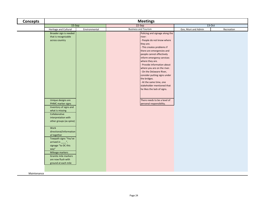| <b>Concepts</b> | <b>Meetings</b>                                                                                                                                                                                                                     |               |                             |                                                                                                                                                                                                                                                                                                                                                                                                                                                                                                                           |                     |            |  |
|-----------------|-------------------------------------------------------------------------------------------------------------------------------------------------------------------------------------------------------------------------------------|---------------|-----------------------------|---------------------------------------------------------------------------------------------------------------------------------------------------------------------------------------------------------------------------------------------------------------------------------------------------------------------------------------------------------------------------------------------------------------------------------------------------------------------------------------------------------------------------|---------------------|------------|--|
|                 | $15-Sep$                                                                                                                                                                                                                            |               |                             | $22-Sep$                                                                                                                                                                                                                                                                                                                                                                                                                                                                                                                  | $13-Oct$            |            |  |
|                 | Heritage and Cultural                                                                                                                                                                                                               | Environmental | <b>Business and Tourism</b> |                                                                                                                                                                                                                                                                                                                                                                                                                                                                                                                           | Gov, Muni and Admin | Recreation |  |
|                 | Broader sign is needed<br>that is recognizable<br>across country<br>Unique designs are<br>PHMC marker signs<br>Inventory of signs and<br>what is missing<br>Collaborative<br>interpretation with<br>other groups (as spine)<br>Work |               |                             | Policing and signage along the<br>river:<br>- People do not know where<br>they are.<br>- This creates problems if<br>there are emergencies and<br>people cannot effectively<br>inform emergency services<br>where they are.<br>- Provide information about<br>where you are on the river.<br>- On the Delaware River,<br>consider putting signs under<br>the bridges.<br>- At the same time, one<br>stakeholder mentioned that<br>he likes the lack of signs.<br>There needs to be a level of<br>personal responsibility. |                     |            |  |
|                 | directional/information<br>al together<br>Towpath signs "You've<br>arrived in $\frac{y}{x}$ ,                                                                                                                                       |               |                             |                                                                                                                                                                                                                                                                                                                                                                                                                                                                                                                           |                     |            |  |
|                 | signage "to DC this<br>way"<br>Mileage markers<br>Granite mile markers<br>are now flush with<br>ground at each mile                                                                                                                 |               |                             |                                                                                                                                                                                                                                                                                                                                                                                                                                                                                                                           |                     |            |  |
| Maintenance     |                                                                                                                                                                                                                                     |               |                             |                                                                                                                                                                                                                                                                                                                                                                                                                                                                                                                           |                     |            |  |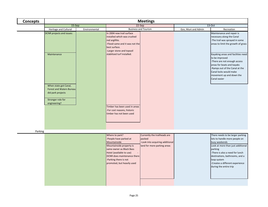| <b>Concepts</b> | <b>Meetings</b>                                                                                                    |               |                                                                                                                                                                                                                                                                |                                                                                                          |                     |                                                                                                                                                                                                                                                                                     |
|-----------------|--------------------------------------------------------------------------------------------------------------------|---------------|----------------------------------------------------------------------------------------------------------------------------------------------------------------------------------------------------------------------------------------------------------------|----------------------------------------------------------------------------------------------------------|---------------------|-------------------------------------------------------------------------------------------------------------------------------------------------------------------------------------------------------------------------------------------------------------------------------------|
|                 | $15-Sep$                                                                                                           |               |                                                                                                                                                                                                                                                                | $22-Sep$                                                                                                 |                     | 13-Oct                                                                                                                                                                                                                                                                              |
|                 | Heritage and Cultural                                                                                              | Environmental |                                                                                                                                                                                                                                                                | <b>Business and Tourism</b>                                                                              | Gov, Muni and Admin | Recreation                                                                                                                                                                                                                                                                          |
|                 | DCNR projects and issues:                                                                                          |               | In 2004 new trail surface<br>installed which was crushed<br>red argillite.<br>-Flood came and it was not the<br>best surface.<br>-Larger stone and topsoil                                                                                                     |                                                                                                          |                     | Maintenance and repair is<br>necessary along the Canal<br>-The trail was sprayed in some<br>areas to limit the growth of grass                                                                                                                                                      |
|                 | Maintenance                                                                                                        |               | stabilized turf installed.                                                                                                                                                                                                                                     |                                                                                                          |                     | Kayaking areas and facilities need<br>to be improved<br>-There are not enough access<br>areas for boats and kayaks<br>-Ramps out of the Canal at the<br>Canal locks would make<br>movement up and down the<br>Canal easier                                                          |
|                 | When state got Canal,<br><b>Forest and Waters Bureau</b><br>did park projects<br>Stronger role for<br>engineering? |               |                                                                                                                                                                                                                                                                |                                                                                                          |                     |                                                                                                                                                                                                                                                                                     |
|                 |                                                                                                                    |               | Timber has been used in areas<br>-For cost reasons, historic<br>timber has not been used                                                                                                                                                                       |                                                                                                          |                     |                                                                                                                                                                                                                                                                                     |
| Parking         |                                                                                                                    |               |                                                                                                                                                                                                                                                                |                                                                                                          |                     |                                                                                                                                                                                                                                                                                     |
|                 |                                                                                                                    |               | Where to park?<br>-People have parked at<br>Mountainside<br>Mountainside property is<br>same owner as Black Bass<br>Hotel (available to use)<br>$\overline{\phantom{a}}$<br>DCNR does maintenance there<br>-Parking there is not<br>promoted, but heavily used | Currently the trailheads are<br>packed<br>-Look into acquiring additional<br>land for more parking areas |                     | There needs to be larger parking<br>lots to handle more people on<br>busy weekends<br>Look at more than just additional<br>parking<br>-There is also a need for lunch<br>destinations, bathrooms, and a<br>loop system<br>-Creates a different experience<br>during the entire trip |
|                 |                                                                                                                    |               |                                                                                                                                                                                                                                                                |                                                                                                          |                     |                                                                                                                                                                                                                                                                                     |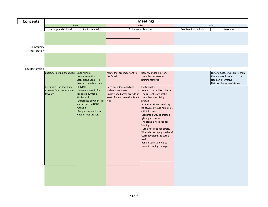| <b>Concepts</b>          |                                                           |                                                                                                                                                       |                                                                                                                 | <b>Meetings</b>                                                                                                                                                                                                                                                                                                                                                     |                     |                                                                             |
|--------------------------|-----------------------------------------------------------|-------------------------------------------------------------------------------------------------------------------------------------------------------|-----------------------------------------------------------------------------------------------------------------|---------------------------------------------------------------------------------------------------------------------------------------------------------------------------------------------------------------------------------------------------------------------------------------------------------------------------------------------------------------------|---------------------|-----------------------------------------------------------------------------|
|                          | $15-Sep$                                                  |                                                                                                                                                       |                                                                                                                 | 22-Sep                                                                                                                                                                                                                                                                                                                                                              | 13-Oct              |                                                                             |
|                          | Heritage and Cultural                                     | Environmental                                                                                                                                         |                                                                                                                 | <b>Business and Tourism</b>                                                                                                                                                                                                                                                                                                                                         | Gov, Muni and Admin | Recreation                                                                  |
| Community<br>Restoration |                                                           |                                                                                                                                                       |                                                                                                                 |                                                                                                                                                                                                                                                                                                                                                                     |                     |                                                                             |
| Site Restoration         |                                                           |                                                                                                                                                       |                                                                                                                 |                                                                                                                                                                                                                                                                                                                                                                     |                     |                                                                             |
|                          | Character defining features:                              | Opportunities:                                                                                                                                        | Assets that are important to                                                                                    | Masonry and the historic                                                                                                                                                                                                                                                                                                                                            |                     | Historic surface was grass, then                                            |
|                          | Reuse cast iron shoes, etc.<br>-New surface that emulates | Water retention<br>Leaks along Canal - Fix<br>them so there is no need<br>to pump.<br>Leaks are hard to find                                          | the Canal<br>Need both developed and<br>undeveloped areas                                                       | towpath are character<br>defining features.<br>The towpath:<br>- Needs to serve bikers better                                                                                                                                                                                                                                                                       |                     | there was red stone.<br>Need an alternative<br>Flat tires because of stones |
|                          | towpath                                                   | (leaks at Bowman's<br>Wastegate).<br>Difference between leak wild<br>and seepage in DCNR<br>verbiage.<br>People may not know<br>what ditches are for. | Undeveloped areas provide an -The current state of the<br>asset of open space that is left towpath makes biking | difficult.<br>-A reduced stone size along<br>the towpath would help bikers<br>with thin tires.<br>-Look into a way to create a<br>hybrid path system.<br>-The stone is not good for<br>flooding.<br>-Turf is not good for bikers.<br>-Where is the happy medium?<br>-Currently stabilized turf is<br>used.<br>-Rebuilt using gabions to<br>prevent flooding damage. |                     |                                                                             |
|                          |                                                           |                                                                                                                                                       |                                                                                                                 |                                                                                                                                                                                                                                                                                                                                                                     |                     |                                                                             |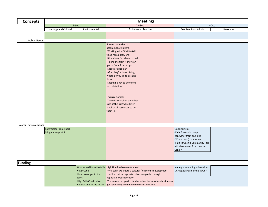| <b>Concepts</b>     |                                                                           |                           | <b>Meetings</b>                                              |                                                     |
|---------------------|---------------------------------------------------------------------------|---------------------------|--------------------------------------------------------------|-----------------------------------------------------|
|                     | 15-Sep                                                                    |                           | 22-Sep                                                       | 13-Oct                                              |
|                     | Heritage and Cultural                                                     | Environmental             | <b>Business and Tourism</b>                                  | Gov, Muni and Admin<br>Recreation                   |
|                     |                                                                           |                           |                                                              |                                                     |
| <b>Public Needs</b> |                                                                           |                           |                                                              |                                                     |
|                     |                                                                           |                           | Shrank stone size to                                         |                                                     |
|                     |                                                                           |                           | accommodate bikers.                                          |                                                     |
|                     |                                                                           |                           | -Working with DCNR to tell                                   |                                                     |
|                     |                                                                           |                           | flood repair story well                                      |                                                     |
|                     |                                                                           |                           | -Bikers look for where to park.                              |                                                     |
|                     |                                                                           |                           | -Taking the train If they can                                |                                                     |
|                     |                                                                           |                           | get to Canal from stops.                                     |                                                     |
|                     |                                                                           |                           | -Loops are popular.                                          |                                                     |
|                     |                                                                           |                           | -After they're done biking,<br>where do you go to eat and    |                                                     |
|                     |                                                                           |                           | drink.                                                       |                                                     |
|                     |                                                                           |                           | -Looping is key to avoid one-                                |                                                     |
|                     |                                                                           |                           | shot visitation.                                             |                                                     |
|                     |                                                                           |                           |                                                              |                                                     |
|                     |                                                                           |                           |                                                              |                                                     |
|                     |                                                                           |                           | Focus regionally:                                            |                                                     |
|                     |                                                                           |                           | -There is a canal on the other                               |                                                     |
|                     |                                                                           |                           | side of the Delaware River.<br>-Look at all resources to tie |                                                     |
|                     |                                                                           |                           | them in.                                                     |                                                     |
|                     |                                                                           |                           |                                                              |                                                     |
|                     |                                                                           |                           |                                                              |                                                     |
|                     |                                                                           |                           |                                                              |                                                     |
| Water Improvements  |                                                                           |                           |                                                              |                                                     |
|                     | <b>Potential for camelback</b>                                            |                           |                                                              | Opportunities:                                      |
|                     | bridge at Airport Rd.                                                     |                           |                                                              | -Falls Township pump                                |
|                     |                                                                           |                           |                                                              | Ran water from one lake<br>(Wheatsheaf) to another. |
|                     |                                                                           |                           |                                                              | -Falls Township Community Park-                     |
|                     |                                                                           |                           |                                                              | will allow water from lake into                     |
|                     |                                                                           |                           |                                                              | Canal?                                              |
|                     |                                                                           |                           |                                                              |                                                     |
|                     |                                                                           |                           |                                                              |                                                     |
| Funding             |                                                                           |                           |                                                              |                                                     |
|                     |                                                                           |                           | What would it cost to fully High Line has been referenced    | Inadequate funding - how does                       |
|                     |                                                                           | <b>water Canal?</b>       | -Why can't we create a cultural / economic development       | DCNR get ahead of the curve?                        |
|                     |                                                                           | -How do we get to that    | corridor that incorporates diverse agenda through            |                                                     |
|                     |                                                                           | point?                    | negotiation/collaboration                                    |                                                     |
|                     |                                                                           | -High Falls Creek culvert | -You can come up with fund or other device where businesses  |                                                     |
|                     | waters Canal in the north.<br>get something from money to maintain Canal. |                           |                                                              |                                                     |